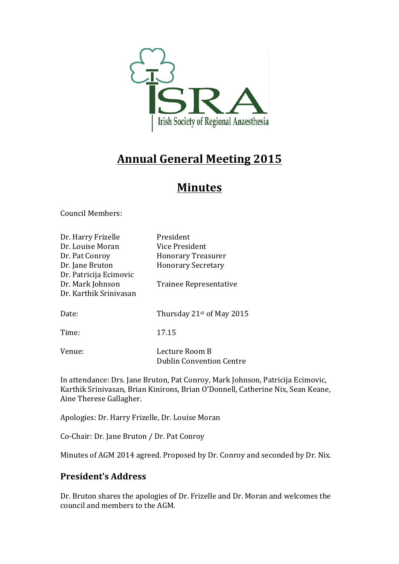

# **Annual General Meeting 2015**

# **Minutes**

Council Members:

| Dr. Harry Frizelle     | President                       |
|------------------------|---------------------------------|
| Dr. Louise Moran       | Vice President                  |
| Dr. Pat Conroy         | <b>Honorary Treasurer</b>       |
| Dr. Jane Bruton        | <b>Honorary Secretary</b>       |
| Dr. Patricija Ecimovic |                                 |
| Dr. Mark Johnson       | Trainee Representative          |
| Dr. Karthik Sriniyasan |                                 |
|                        |                                 |
| Date:                  | Thursday $21^{st}$ of May 2015  |
|                        |                                 |
| Time:                  | 17.15                           |
|                        |                                 |
| Venue:                 | Lecture Room B                  |
|                        | <b>Dublin Convention Centre</b> |

In attendance: Drs. Jane Bruton, Pat Conroy, Mark Johnson, Patricija Ecimovic, Karthik Srinivasan, Brian Kinirons, Brian O'Donnell, Catherine Nix, Sean Keane, Aine Therese Gallagher.

Apologies: Dr. Harry Frizelle, Dr. Louise Moran

Co-Chair: Dr. Jane Bruton / Dr. Pat Conroy

Minutes of AGM 2014 agreed. Proposed by Dr. Conroy and seconded by Dr. Nix.

## **President's Address**

Dr. Bruton shares the apologies of Dr. Frizelle and Dr. Moran and welcomes the council and members to the AGM.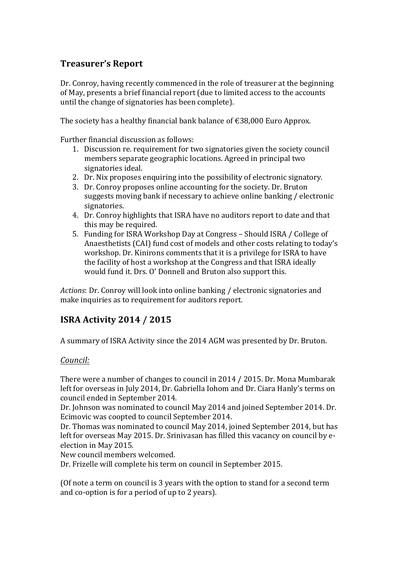# **Treasurer's Report**

Dr. Conroy, having recently commenced in the role of treasurer at the beginning of May, presents a brief financial report (due to limited access to the accounts until the change of signatories has been complete).

The society has a healthy financial bank balance of €38,000 Euro Approx.

Further financial discussion as follows:

- 1. Discussion re. requirement for two signatories given the society council members separate geographic locations. Agreed in principal two signatories ideal.
- 2. Dr. Nix proposes enquiring into the possibility of electronic signatory.
- 3. Dr. Conroy proposes online accounting for the society. Dr. Bruton suggests moving bank if necessary to achieve online banking / electronic signatories.
- 4. Dr. Conroy highlights that ISRA have no auditors report to date and that this may be required.
- 5. Funding for ISRA Workshop Day at Congress Should ISRA / College of Anaesthetists (CAI) fund cost of models and other costs relating to today's workshop. Dr. Kinirons comments that it is a privilege for ISRA to have the facility of host a workshop at the Congress and that ISRA ideally would fund it. Drs. O' Donnell and Bruton also support this.

*Actions*: Dr. Conroy will look into online banking / electronic signatories and make inquiries as to requirement for auditors report.

# **ISRA Activity 2014 / 2015**

A summary of ISRA Activity since the 2014 AGM was presented by Dr. Bruton.

### *Council:*

There were a number of changes to council in 2014 / 2015. Dr. Mona Mumbarak left for overseas in July 2014, Dr. Gabriella Iohom and Dr. Ciara Hanly's terms on council ended in September 2014.

Dr. Johnson was nominated to council May 2014 and joined September 2014. Dr. Ecimovic was coopted to council September 2014.

Dr. Thomas was nominated to council May 2014, joined September 2014, but has left for overseas May 2015. Dr. Srinivasan has filled this vacancy on council by eelection in May 2015.

New council members welcomed.

Dr. Frizelle will complete his term on council in September 2015.

(Of note a term on council is 3 years with the option to stand for a second term and co-option is for a period of up to 2 years).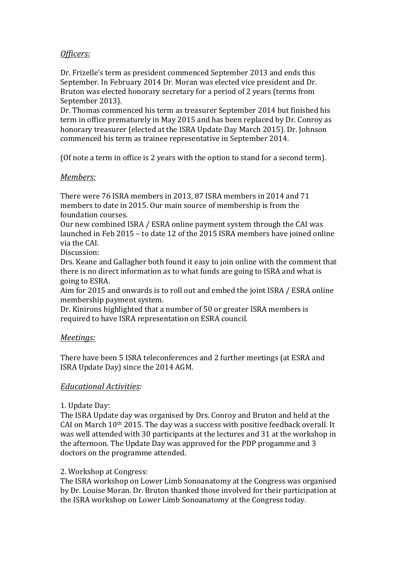## *Officers:*

Dr. Frizelle's term as president commenced September 2013 and ends this September. In February 2014 Dr. Moran was elected vice president and Dr. Bruton was elected honorary secretary for a period of 2 years (terms from September 2013).

Dr. Thomas commenced his term as treasurer September 2014 but finished his term in office prematurely in May 2015 and has been replaced by Dr. Conroy as honorary treasurer (elected at the ISRA Update Day March 2015). Dr. Johnson commenced his term as trainee representative in September 2014.

(Of note a term in office is 2 years with the option to stand for a second term).

#### *Members:*

There were 76 ISRA members in 2013, 87 ISRA members in 2014 and 71 members to date in 2015. Our main source of membership is from the foundation courses.

Our new combined ISRA / ESRA online payment system through the CAI was launched in Feb 2015 – to date 12 of the 2015 ISRA members have joined online via the CAL.

Discussion: 

Drs. Keane and Gallagher both found it easy to join online with the comment that there is no direct information as to what funds are going to ISRA and what is going to ESRA.

Aim for 2015 and onwards is to roll out and embed the joint ISRA / ESRA online membership payment system.

Dr. Kinirons highlighted that a number of 50 or greater ISRA members is required to have ISRA representation on ESRA council.

#### *Meetings:*

There have been 5 ISRA teleconferences and 2 further meetings (at ESRA and ISRA Update Day) since the 2014 AGM.

### *Educational Activities:*

#### 1. Update Day:

The ISRA Update day was organised by Drs. Conroy and Bruton and held at the CAI on March  $10<sup>th</sup>$  2015. The day was a success with positive feedback overall. It was well attended with 30 participants at the lectures and 31 at the workshop in the afternoon. The Update Day was approved for the PDP progamme and 3 doctors on the programme attended.

#### 2. Workshop at Congress:

The ISRA workshop on Lower Limb Sonoanatomy at the Congress was organised by Dr. Louise Moran. Dr. Bruton thanked those involved for their participation at the ISRA workshop on Lower Limb Sonoanatomy at the Congress today.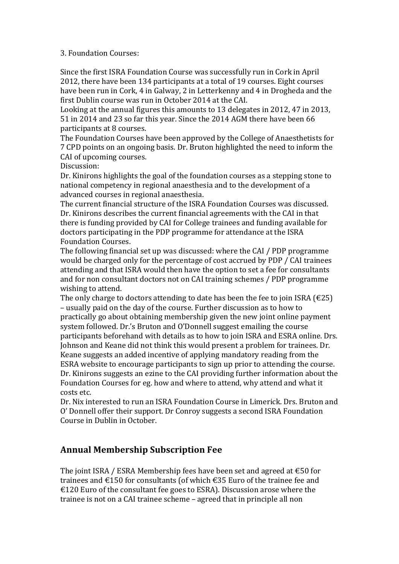#### 3. Foundation Courses:

Since the first ISRA Foundation Course was successfully run in Cork in April 2012, there have been 134 participants at a total of 19 courses. Eight courses have been run in Cork, 4 in Galway, 2 in Letterkenny and 4 in Drogheda and the first Dublin course was run in October 2014 at the CAI.

Looking at the annual figures this amounts to 13 delegates in 2012, 47 in 2013, 51 in 2014 and 23 so far this year. Since the 2014 AGM there have been 66 participants at 8 courses.

The Foundation Courses have been approved by the College of Anaesthetists for 7 CPD points on an ongoing basis. Dr. Bruton highlighted the need to inform the CAI of upcoming courses.

Discussion:

Dr. Kinirons highlights the goal of the foundation courses as a stepping stone to national competency in regional anaesthesia and to the development of a advanced courses in regional anaesthesia.

The current financial structure of the ISRA Foundation Courses was discussed. Dr. Kinirons describes the current financial agreements with the CAI in that there is funding provided by CAI for College trainees and funding available for doctors participating in the PDP programme for attendance at the ISRA Foundation Courses.

The following financial set up was discussed: where the CAI / PDP programme would be charged only for the percentage of cost accrued by PDP / CAI trainees attending and that ISRA would then have the option to set a fee for consultants and for non consultant doctors not on CAI training schemes / PDP programme wishing to attend.

The only charge to doctors attending to date has been the fee to join ISRA ( $\epsilon$ 25) – usually paid on the day of the course. Further discussion as to how to practically go about obtaining membership given the new joint online payment system followed. Dr.'s Bruton and O'Donnell suggest emailing the course participants beforehand with details as to how to join ISRA and ESRA online. Drs. Johnson and Keane did not think this would present a problem for trainees. Dr. Keane suggests an added incentive of applying mandatory reading from the ESRA website to encourage participants to sign up prior to attending the course. Dr. Kinirons suggests an ezine to the CAI providing further information about the Foundation Courses for eg. how and where to attend, why attend and what it costs etc.

Dr. Nix interested to run an ISRA Foundation Course in Limerick. Drs. Bruton and O' Donnell offer their support. Dr Conroy suggests a second ISRA Foundation Course in Dublin in October.

## **Annual Membership Subscription Fee**

The joint ISRA / ESRA Membership fees have been set and agreed at  $\epsilon$ 50 for trainees and €150 for consultants (of which €35 Euro of the trainee fee and €120 Euro of the consultant fee goes to ESRA). Discussion arose where the trainee is not on a CAI trainee scheme – agreed that in principle all non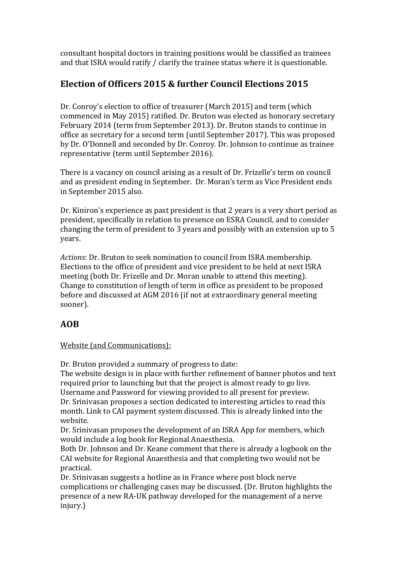consultant hospital doctors in training positions would be classified as trainees and that ISRA would ratify / clarify the trainee status where it is questionable.

# **Election of Officers 2015 & further Council Elections 2015**

Dr. Conroy's election to office of treasurer (March 2015) and term (which commenced in May 2015) ratified. Dr. Bruton was elected as honorary secretary February 2014 (term from September 2013). Dr. Bruton stands to continue in office as secretary for a second term (until September 2017). This was proposed by Dr. O'Donnell and seconded by Dr. Conroy. Dr. Johnson to continue as trainee representative (term until September 2016). 

There is a vacancy on council arising as a result of Dr. Frizelle's term on council and as president ending in September. Dr. Moran's term as Vice President ends in September 2015 also.

Dr. Kiniron's experience as past president is that 2 years is a very short period as president, specifically in relation to presence on ESRA Council, and to consider changing the term of president to 3 years and possibly with an extension up to 5 years.

*Actions*: Dr. Bruton to seek nomination to council from ISRA membership. Elections to the office of president and vice president to be held at next ISRA meeting (both Dr. Frizelle and Dr. Moran unable to attend this meeting). Change to constitution of length of term in office as president to be proposed before and discussed at AGM 2016 (if not at extraordinary general meeting sooner).

# **AOB**

Website (and Communications):

Dr. Bruton provided a summary of progress to date:

The website design is in place with further refinement of banner photos and text required prior to launching but that the project is almost ready to go live. Username and Password for viewing provided to all present for preview.

Dr. Srinivasan proposes a section dedicated to interesting articles to read this month. Link to CAI payment system discussed. This is already linked into the website.

Dr. Srinivasan proposes the development of an ISRA App for members, which would include a log book for Regional Anaesthesia.

Both Dr. Johnson and Dr. Keane comment that there is already a logbook on the CAI website for Regional Anaesthesia and that completing two would not be practical.

Dr. Srinivasan suggests a hotline as in France where post block nerve complications or challenging cases may be discussed. (Dr. Bruton highlights the presence of a new RA-UK pathway developed for the management of a nerve injury.)